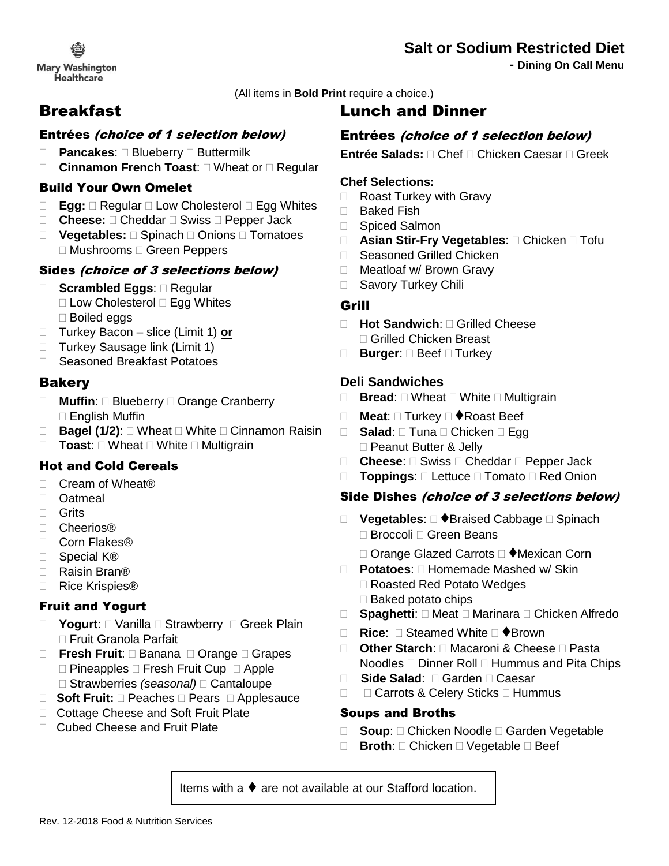## **Salt or Sodium Restricted Diet**

**- Dining On Call Menu**

**Mary Washington Healthcare** 

(All items in **Bold Print** require a choice.)

## Breakfast

## Entrées (choice of 1 selection below)

- □ **Pancakes:** □ Blueberry □ Buttermilk
- □ Cinnamon French Toast: □ Wheat or □ Regular

### Build Your Own Omelet

- □ **Egg:** □ Regular □ Low Cholesterol □ Egg Whites
- □ **Cheese:** □ Cheddar □ Swiss □ Pepper Jack
- □ **Vegetables:** □ Spinach □ Onions □ Tomatoes □ Mushrooms □ Green Peppers

### Sides (choice of 3 selections below)

- □ **Scrambled Eggs:** □ Regular
	- □ Low Cholesterol □ Egg Whites Boiled eggs
- Turkey Bacon slice (Limit 1) **or**
- □ Turkey Sausage link (Limit 1)
- □ Seasoned Breakfast Potatoes

## **Bakery**

- □ Muffin: □ Blueberry □ Orange Cranberry □ English Muffin
- □ **Bagel (1/2)**: □ Wheat □ White □ Cinnamon Raisin
- □ **Toast:** □ Wheat □ White □ Multigrain

## Hot and Cold Cereals

- □ Cream of Wheat®
- D Oatmeal
- □ Grits
- Cheerios®
- □ Corn Flakes®
- Special K®
- □ Raisin Bran®
- □ Rice Krispies<sup>®</sup>

## Fruit and Yogurt

- □ **Yogurt**: □ Vanilla □ Strawberry □ Greek Plain □ Fruit Granola Parfait
- □ **Fresh Fruit**: □ Banana □ Orange □ Grapes  $\Box$  Pineapples  $\Box$  Fresh Fruit Cup  $\Box$  Apple □ Strawberries *(seasonal)* □ Cantaloupe
- □ **Soft Fruit:** □ Peaches □ Pears □ Applesauce
- □ Cottage Cheese and Soft Fruit Plate
- □ Cubed Cheese and Fruit Plate

## Lunch and Dinner

## Entrées (choice of 1 selection below)

**Entrée Salads:** □ Chef □ Chicken Caesar □ Greek

#### **Chef Selections:**

- □ Roast Turkey with Gravy
- □ Baked Fish
- □ Spiced Salmon
- □ **Asian Stir-Fry Vegetables**: □ Chicken □ Tofu
- □ Seasoned Grilled Chicken
- □ Meatloaf w/ Brown Gravy
- □ Savory Turkey Chili

### Grill

- **Hot Sandwich**: Grilled Cheese □ Grilled Chicken Breast
- **□ Burger:** □ Beef □ Turkey

#### **Deli Sandwiches**

- $\Box$  **Bread:**  $\Box$  Wheat  $\Box$  White  $\Box$  Multigrain
- **Meat: □ Turkey □ ◆Roast Beef**
- □ Salad: □ Tuna □ Chicken □ Egg □ Peanut Butter & Jelly
- □ **Cheese**: □ Swiss □ Cheddar □ Pepper Jack
- □ **Toppings**: □ Lettuce □ Tomato □ Red Onion

#### Side Dishes (choice of 3 selections below)

- □ Vegetables: □ ◆Braised Cabbage □ Spinach □ Broccoli □ Green Beans
	- □ Orange Glazed Carrots □ ◆Mexican Corn
- □ **Potatoes**: □ Homemade Mashed w/ Skin □ Roasted Red Potato Wedges  $\Box$  Baked potato chips
- □ Spaghetti: □ Meat □ Marinara □ Chicken Alfredo
- **□ Rice: □ Steamed White □ ◆Brown**
- □ Other Starch: □ Macaroni & Cheese □ Pasta Noodles  $\Box$  Dinner Roll  $\Box$  Hummus and Pita Chips
- □ **Side Salad:** □ Garden □ Caesar
- $\Box$   $\Box$  Carrots & Celery Sticks  $\Box$  Hummus

#### Soups and Broths

- □ **Soup**: □ Chicken Noodle □ Garden Vegetable
- □ **Broth**: □ Chicken □ Vegetable □ Beef

Items with a ♦ are not available at our Stafford location.